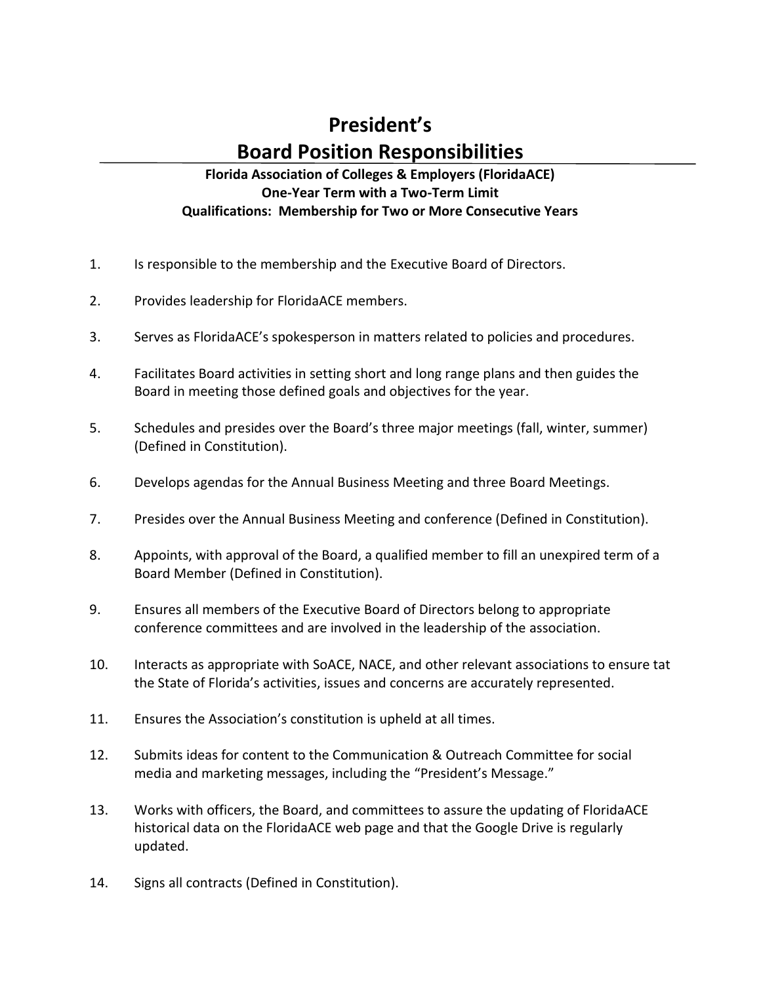## **President's Board Position Responsibilities**

## **Florida Association of Colleges & Employers (FloridaACE) One-Year Term with a Two-Term Limit Qualifications: Membership for Two or More Consecutive Years**

- 1. Is responsible to the membership and the Executive Board of Directors.
- 2. Provides leadership for FloridaACE members.
- 3. Serves as FloridaACE's spokesperson in matters related to policies and procedures.
- 4. Facilitates Board activities in setting short and long range plans and then guides the Board in meeting those defined goals and objectives for the year.
- 5. Schedules and presides over the Board's three major meetings (fall, winter, summer) (Defined in Constitution).
- 6. Develops agendas for the Annual Business Meeting and three Board Meetings.
- 7. Presides over the Annual Business Meeting and conference (Defined in Constitution).
- 8. Appoints, with approval of the Board, a qualified member to fill an unexpired term of a Board Member (Defined in Constitution).
- 9. Ensures all members of the Executive Board of Directors belong to appropriate conference committees and are involved in the leadership of the association.
- 10. Interacts as appropriate with SoACE, NACE, and other relevant associations to ensure tat the State of Florida's activities, issues and concerns are accurately represented.
- 11. Ensures the Association's constitution is upheld at all times.
- 12. Submits ideas for content to the Communication & Outreach Committee for social media and marketing messages, including the "President's Message."
- 13. Works with officers, the Board, and committees to assure the updating of FloridaACE historical data on the FloridaACE web page and that the Google Drive is regularly updated.
- 14. Signs all contracts (Defined in Constitution).